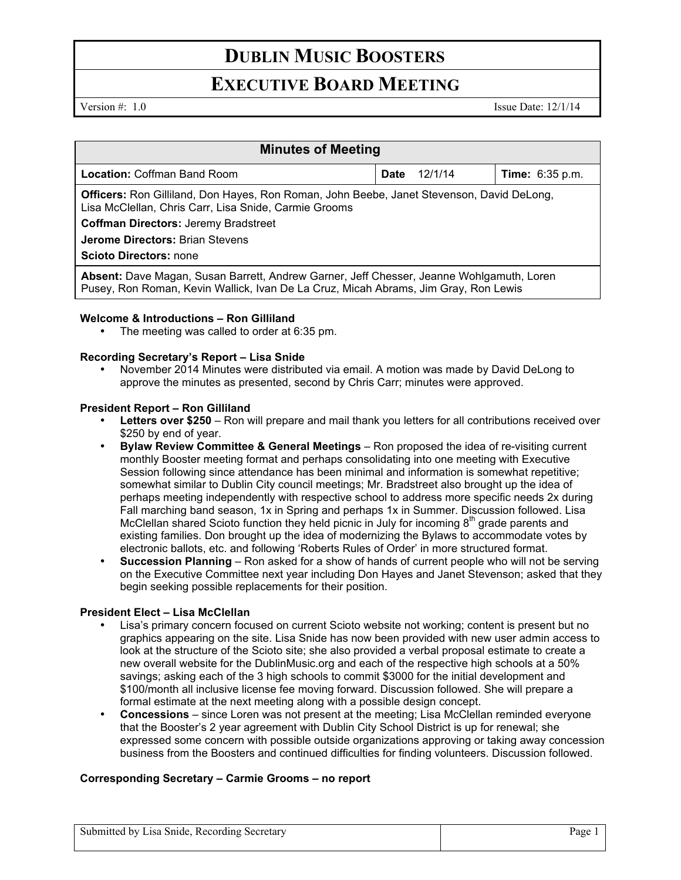# **DUBLIN MUSIC BOOSTERS**

## **EXECUTIVE BOARD MEETING**

Version  $\#$ : 1.0 Issue Date: 12/1/14

| <b>Minutes of Meeting</b>                                                                                                                                                                                |             |         |                        |  |
|----------------------------------------------------------------------------------------------------------------------------------------------------------------------------------------------------------|-------------|---------|------------------------|--|
| <b>Location: Coffman Band Room</b>                                                                                                                                                                       | <b>Date</b> | 12/1/14 | <b>Time:</b> 6:35 p.m. |  |
| <b>Officers:</b> Ron Gilliland, Don Hayes, Ron Roman, John Beebe, Janet Stevenson, David DeLong,<br>Lisa McClellan, Chris Carr, Lisa Snide, Carmie Grooms<br><b>Coffman Directors: Jeremy Bradstreet</b> |             |         |                        |  |
| <b>Jerome Directors: Brian Stevens</b><br><b>Scioto Directors: none</b>                                                                                                                                  |             |         |                        |  |
| Absent: Dave Magan, Susan Barrett, Andrew Garner, Jeff Chesser, Jeanne Wohlgamuth, Loren<br>Pusey, Ron Roman, Kevin Wallick, Ivan De La Cruz, Micah Abrams, Jim Gray, Ron Lewis                          |             |         |                        |  |

### **Welcome & Introductions – Ron Gilliland**

• The meeting was called to order at 6:35 pm.

### **Recording Secretary's Report – Lisa Snide**

• November 2014 Minutes were distributed via email. A motion was made by David DeLong to approve the minutes as presented, second by Chris Carr; minutes were approved.

### **President Report – Ron Gilliland**

- **Letters over \$250** Ron will prepare and mail thank you letters for all contributions received over \$250 by end of year.
- **Bylaw Review Committee & General Meetings**  Ron proposed the idea of re-visiting current monthly Booster meeting format and perhaps consolidating into one meeting with Executive Session following since attendance has been minimal and information is somewhat repetitive; somewhat similar to Dublin City council meetings; Mr. Bradstreet also brought up the idea of perhaps meeting independently with respective school to address more specific needs 2x during Fall marching band season, 1x in Spring and perhaps 1x in Summer. Discussion followed. Lisa McClellan shared Scioto function they held picnic in July for incoming  $8<sup>th</sup>$  grade parents and existing families. Don brought up the idea of modernizing the Bylaws to accommodate votes by electronic ballots, etc. and following 'Roberts Rules of Order' in more structured format.
- **Succession Planning**  Ron asked for a show of hands of current people who will not be serving on the Executive Committee next year including Don Hayes and Janet Stevenson; asked that they begin seeking possible replacements for their position.

### **President Elect – Lisa McClellan**

- Lisa's primary concern focused on current Scioto website not working; content is present but no graphics appearing on the site. Lisa Snide has now been provided with new user admin access to look at the structure of the Scioto site; she also provided a verbal proposal estimate to create a new overall website for the DublinMusic.org and each of the respective high schools at a 50% savings; asking each of the 3 high schools to commit \$3000 for the initial development and \$100/month all inclusive license fee moving forward. Discussion followed. She will prepare a formal estimate at the next meeting along with a possible design concept.
- **Concessions** since Loren was not present at the meeting; Lisa McClellan reminded everyone that the Booster's 2 year agreement with Dublin City School District is up for renewal; she expressed some concern with possible outside organizations approving or taking away concession business from the Boosters and continued difficulties for finding volunteers. Discussion followed.

### **Corresponding Secretary – Carmie Grooms – no report**

| Submitted by Lisa Snide, Recording Secretary | Page 1 |
|----------------------------------------------|--------|
|----------------------------------------------|--------|